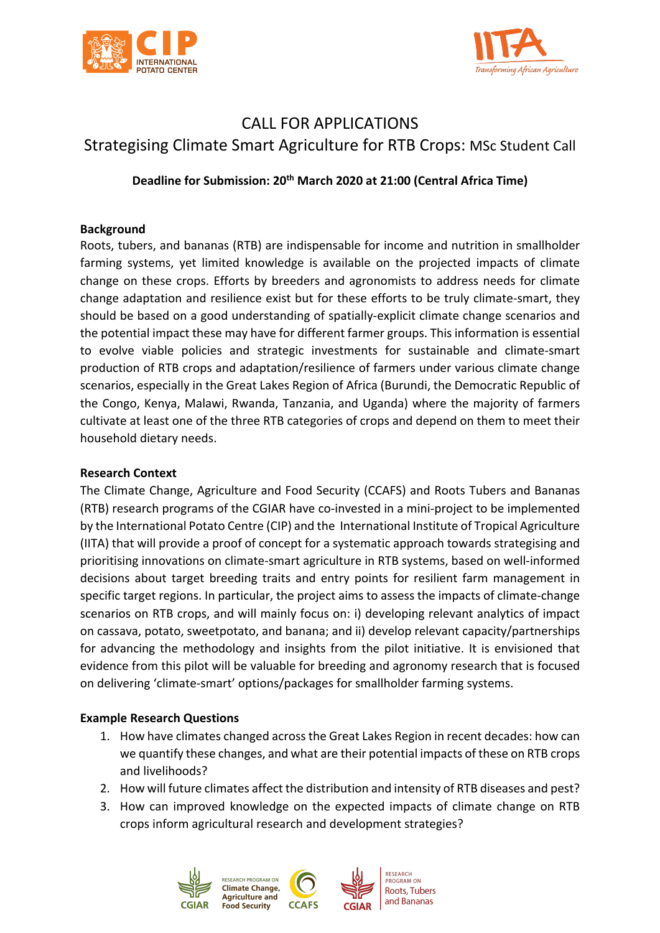



# CALL FOR APPLICATIONS Strategising Climate Smart Agriculture for RTB Crops: MSc Student Call

**Deadline for Submission: 20th March 2020 at 21:00 (Central Africa Time)**

#### **Background**

Roots, tubers, and bananas (RTB) are indispensable for income and nutrition in smallholder farming systems, yet limited knowledge is available on the projected impacts of climate change on these crops. Efforts by breeders and agronomists to address needs for climate change adaptation and resilience exist but for these efforts to be truly climate-smart, they should be based on a good understanding of spatially-explicit climate change scenarios and the potential impact these may have for different farmer groups. This information is essential to evolve viable policies and strategic investments for sustainable and climate-smart production of RTB crops and adaptation/resilience of farmers under various climate change scenarios, especially in the Great Lakes Region of Africa (Burundi, the Democratic Republic of the Congo, Kenya, Malawi, Rwanda, Tanzania, and Uganda) where the majority of farmers cultivate at least one of the three RTB categories of crops and depend on them to meet their household dietary needs.

### **Research Context**

The Climate Change, Agriculture and Food Security (CCAFS) and Roots Tubers and Bananas (RTB) research programs of the CGIAR have co-invested in a mini-project to be implemented by the International Potato Centre (CIP) and the International Institute of Tropical Agriculture (IITA) that will provide a proof of concept for a systematic approach towards strategising and prioritising innovations on climate-smart agriculture in RTB systems, based on well-informed decisions about target breeding traits and entry points for resilient farm management in specific target regions. In particular, the project aims to assess the impacts of climate-change scenarios on RTB crops, and will mainly focus on: i) developing relevant analytics of impact on cassava, potato, sweetpotato, and banana; and ii) develop relevant capacity/partnerships for advancing the methodology and insights from the pilot initiative. It is envisioned that evidence from this pilot will be valuable for breeding and agronomy research that is focused on delivering 'climate-smart' options/packages for smallholder farming systems.

# **Example Research Questions**

- 1. How have climates changed across the Great Lakes Region in recent decades: how can we quantify these changes, and what are their potential impacts of these on RTB crops and livelihoods?
- 2. How will future climates affect the distribution and intensity of RTB diseases and pest?
- 3. How can improved knowledge on the expected impacts of climate change on RTB crops inform agricultural research and development strategies?